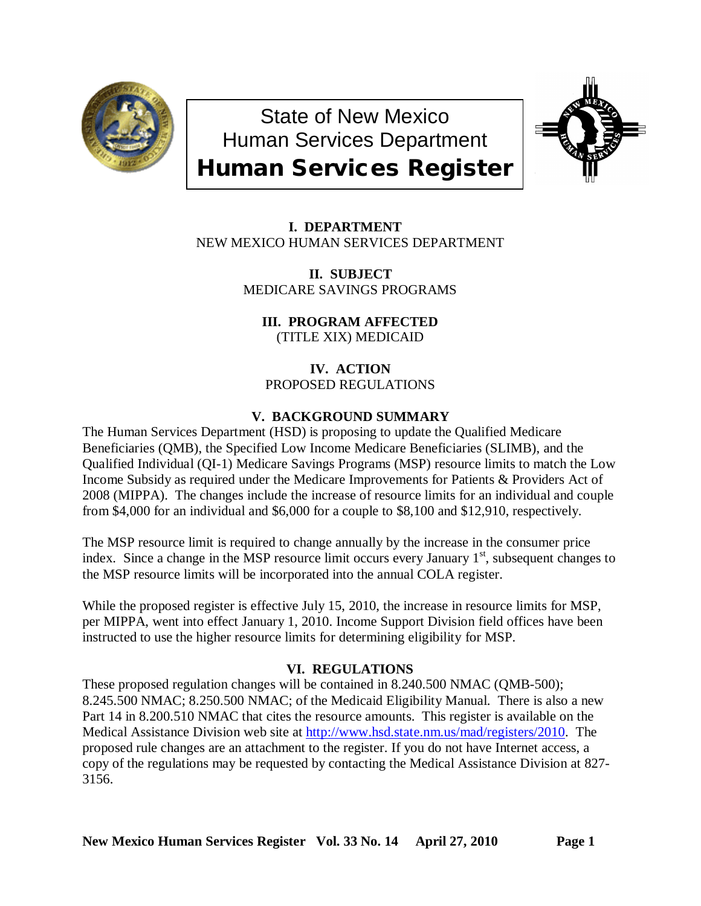

State of New Mexico Human Services Department Human Services Register



 **I. DEPARTMENT** NEW MEXICO HUMAN SERVICES DEPARTMENT

> **II. SUBJECT** MEDICARE SAVINGS PROGRAMS

**III. PROGRAM AFFECTED** (TITLE XIX) MEDICAID

**IV. ACTION** PROPOSED REGULATIONS

# **V. BACKGROUND SUMMARY**

The Human Services Department (HSD) is proposing to update the Qualified Medicare Beneficiaries (QMB), the Specified Low Income Medicare Beneficiaries (SLIMB), and the Qualified Individual (QI-1) Medicare Savings Programs (MSP) resource limits to match the Low Income Subsidy as required under the Medicare Improvements for Patients & Providers Act of 2008 (MIPPA). The changes include the increase of resource limits for an individual and couple from \$4,000 for an individual and \$6,000 for a couple to \$8,100 and \$12,910, respectively.

The MSP resource limit is required to change annually by the increase in the consumer price index. Since a change in the MSP resource limit occurs every January  $1<sup>st</sup>$ , subsequent changes to the MSP resource limits will be incorporated into the annual COLA register.

While the proposed register is effective July 15, 2010, the increase in resource limits for MSP, per MIPPA, went into effect January 1, 2010. Income Support Division field offices have been instructed to use the higher resource limits for determining eligibility for MSP.

## **VI. REGULATIONS**

These proposed regulation changes will be contained in 8.240.500 NMAC (QMB-500); 8.245.500 NMAC; 8.250.500 NMAC; of the Medicaid Eligibility Manual. There is also a new Part 14 in 8.200.510 NMAC that cites the resource amounts. This register is available on the Medical Assistance Division web site at [http://www.hsd.state.nm.us/mad/registers/2010.](http://www.hsd.state.nm.us/mad/registers/2010) The proposed rule changes are an attachment to the register. If you do not have Internet access, a copy of the regulations may be requested by contacting the Medical Assistance Division at 827- 3156.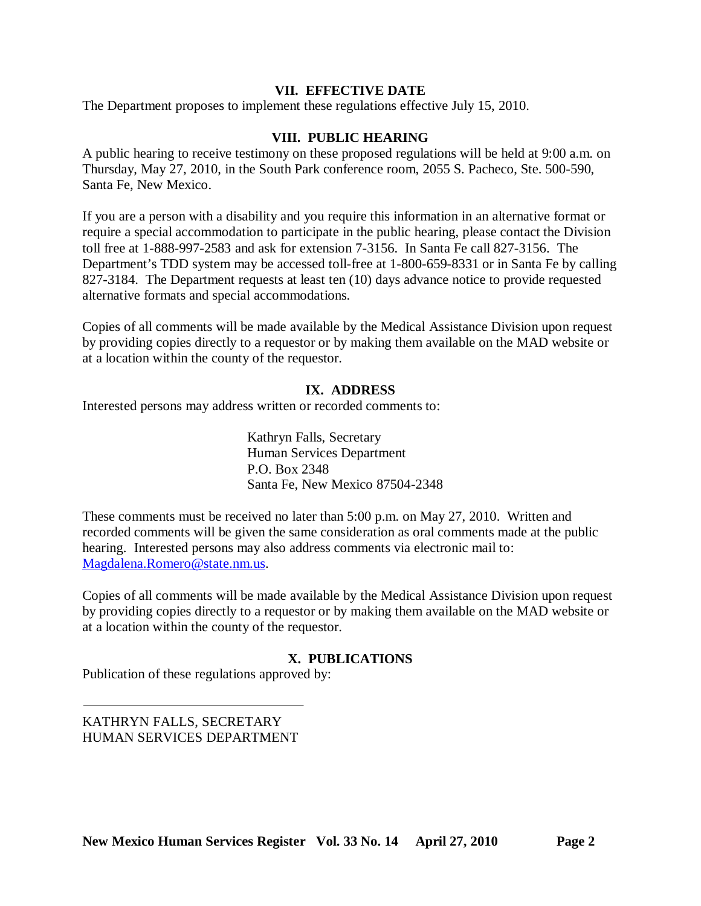### **VII. EFFECTIVE DATE**

The Department proposes to implement these regulations effective July 15, 2010.

### **VIII. PUBLIC HEARING**

A public hearing to receive testimony on these proposed regulations will be held at 9:00 a.m. on Thursday, May 27, 2010, in the South Park conference room, 2055 S. Pacheco, Ste. 500-590, Santa Fe, New Mexico.

If you are a person with a disability and you require this information in an alternative format or require a special accommodation to participate in the public hearing, please contact the Division toll free at 1-888-997-2583 and ask for extension 7-3156. In Santa Fe call 827-3156. The Department's TDD system may be accessed toll-free at 1-800-659-8331 or in Santa Fe by calling 827-3184. The Department requests at least ten (10) days advance notice to provide requested alternative formats and special accommodations.

Copies of all comments will be made available by the Medical Assistance Division upon request by providing copies directly to a requestor or by making them available on the MAD website or at a location within the county of the requestor.

### **IX. ADDRESS**

Interested persons may address written or recorded comments to:

Kathryn Falls, Secretary Human Services Department P.O. Box 2348 Santa Fe, New Mexico 87504-2348

These comments must be received no later than 5:00 p.m. on May 27, 2010. Written and recorded comments will be given the same consideration as oral comments made at the public hearing. Interested persons may also address comments via electronic mail to: [Magdalena.Romero@state.nm.us.](mailto:Magdalena.Romero@state.nm.us)

Copies of all comments will be made available by the Medical Assistance Division upon request by providing copies directly to a requestor or by making them available on the MAD website or at a location within the county of the requestor.

## **X. PUBLICATIONS**

Publication of these regulations approved by:

KATHRYN FALLS, SECRETARY HUMAN SERVICES DEPARTMENT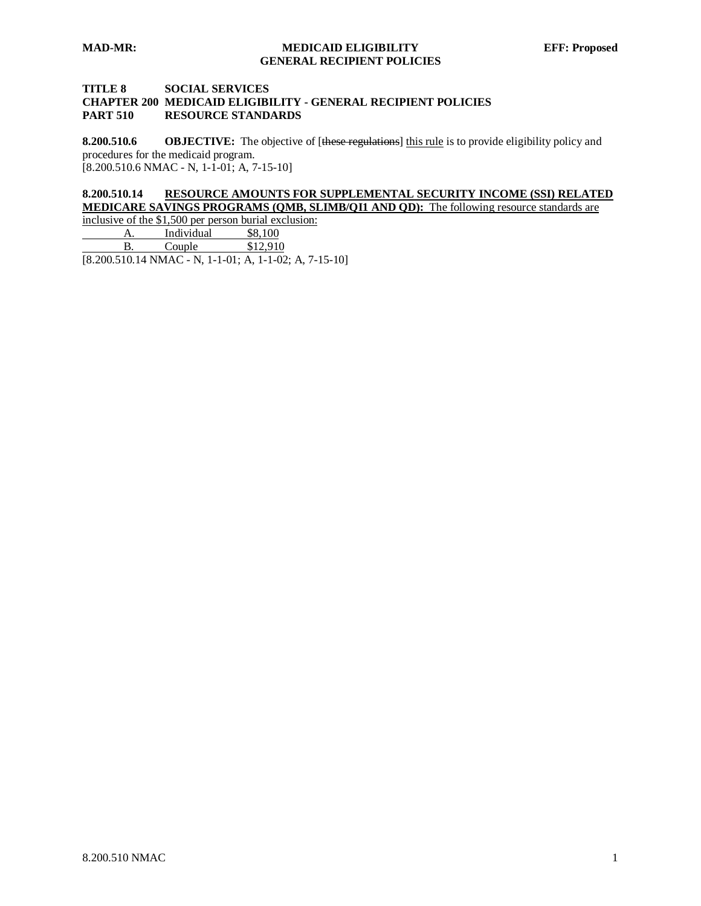#### **TITLE 8 SOCIAL SERVICES CHAPTER 200 MEDICAID ELIGIBILITY - GENERAL RECIPIENT POLICIES PART 510 RESOURCE STANDARDS**

**8.200.510.6 OBJECTIVE:** The objective of [these regulations] this rule is to provide eligibility policy and [8.200.510.6 NMAC - N, 1-1-01; A, 7-15-10] procedures for the medicaid program.

#### **8.200.510.14 RESOURCE AMOUNTS FOR SUPPLEMENTAL SECURITY INCOME (SSI) RELATED MEDICARE SAVINGS PROGRAMS (QMB, SLIMB/QI1 AND QD):** The following resource standards are

inclusive of the \$1,500 per person burial exclusion:<br>A. Individual \$8,100 A. Individual \$8,100<br>B. Couple \$12,910 Couple  $\qquad$ 

 $[8.200.510.14 \text{ NMAC} - \text{N}, 1 - 1 - 01; \text{A}, 1 - 1 - 02; \text{A}, 7 - 15 - 10]$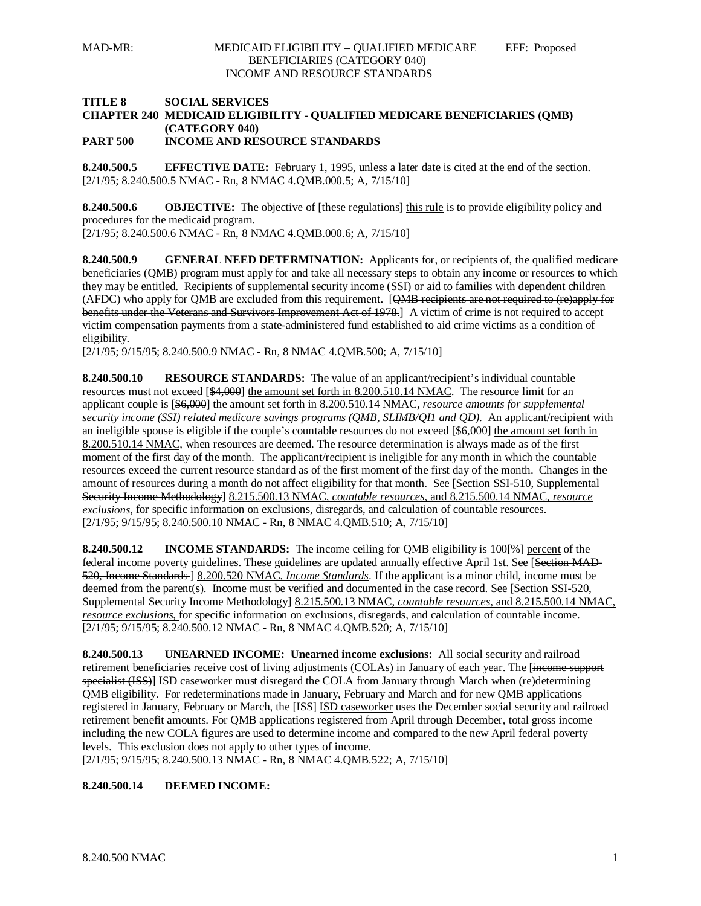### **TITLE 8 SOCIAL SERVICES CHAPTER 240 MEDICAID ELIGIBILITY - QUALIFIED MEDICARE BENEFICIARIES (QMB) (CATEGORY 040)**

**PART 500 INCOME AND RESOURCE STANDARDS**

**8.240.500.5 EFFECTIVE DATE:** February 1, 1995, unless a later date is cited at the end of the section. [2/1/95; 8.240.500.5 NMAC - Rn, 8 NMAC 4.QMB.000.5; A, 7/15/10]

**8.240.500.6 OBJECTIVE:** The objective of [these regulations] this rule is to provide eligibility policy and procedures for the medicaid program.

[2/1/95; 8.240.500.6 NMAC - Rn, 8 NMAC 4.QMB.000.6; A, 7/15/10]

**8.240.500.9 GENERAL NEED DETERMINATION:** Applicants for, or recipients of, the qualified medicare beneficiaries (QMB) program must apply for and take all necessary steps to obtain any income or resources to which they may be entitled. Recipients of supplemental security income (SSI) or aid to families with dependent children (AFDC) who apply for QMB are excluded from this requirement. [QMB recipients are not required to (re)apply for benefits under the Veterans and Survivors Improvement Act of 1978.] A victim of crime is not required to accept victim compensation payments from a state-administered fund established to aid crime victims as a condition of eligibility.

[2/1/95; 9/15/95; 8.240.500.9 NMAC - Rn, 8 NMAC 4.QMB.500; A, 7/15/10]

**8.240.500.10 RESOURCE STANDARDS:** The value of an applicant/recipient's individual countable resources must not exceed [\$4,000] the amount set forth in 8.200.510.14 NMAC. The resource limit for an applicant couple is [\$6,000] the amount set forth in 8.200.510.14 NMAC, *resource amounts for supplemental security income (SSI) related medicare savings programs (QMB, SLIMB/QI1 and QD)*. An applicant/recipient with an ineligible spouse is eligible if the couple's countable resources do not exceed [\$6,000] the amount set forth in 8.200.510.14 NMAC, when resources are deemed. The resource determination is always made as of the first moment of the first day of the month. The applicant/recipient is ineligible for any month in which the countable resources exceed the current resource standard as of the first moment of the first day of the month. Changes in the amount of resources during a month do not affect eligibility for that month. See [Section SSI-510, Supplemental Security Income Methodology] 8.215.500.13 NMAC, *countable resources*, and 8.215.500.14 NMAC, *resource exclusions*, for specific information on exclusions, disregards, and calculation of countable resources. [2/1/95; 9/15/95; 8.240.500.10 NMAC - Rn, 8 NMAC 4.QMB.510; A, 7/15/10]

**8.240.500.12 INCOME STANDARDS:** The income ceiling for QMB eligibility is 100[%] percent of the federal income poverty guidelines. These guidelines are updated annually effective April 1st. See [Section MAD-520, Income Standards ] 8.200.520 NMAC, *Income Standards*. If the applicant is a minor child, income must be deemed from the parent(s). Income must be verified and documented in the case record. See [Section SSI-520, Supplemental Security Income Methodology] 8.215.500.13 NMAC, *countable resources*, and 8.215.500.14 NMAC, *resource exclusions*, for specific information on exclusions, disregards, and calculation of countable income. [2/1/95; 9/15/95; 8.240.500.12 NMAC - Rn, 8 NMAC 4.QMB.520; A, 7/15/10]

**8.240.500.13 UNEARNED INCOME: Unearned income exclusions:** All social security and railroad retirement beneficiaries receive cost of living adjustments (COLAs) in January of each year. The [income support specialist (ISS)] ISD caseworker must disregard the COLA from January through March when (re)determining QMB eligibility. For redeterminations made in January, February and March and for new QMB applications registered in January, February or March, the [<del>ISS]</del> ISD caseworker uses the December social security and railroad retirement benefit amounts. For QMB applications registered from April through December, total gross income including the new COLA figures are used to determine income and compared to the new April federal poverty levels. This exclusion does not apply to other types of income.

[2/1/95; 9/15/95; 8.240.500.13 NMAC - Rn, 8 NMAC 4.QMB.522; A, 7/15/10]

### **8.240.500.14 DEEMED INCOME:**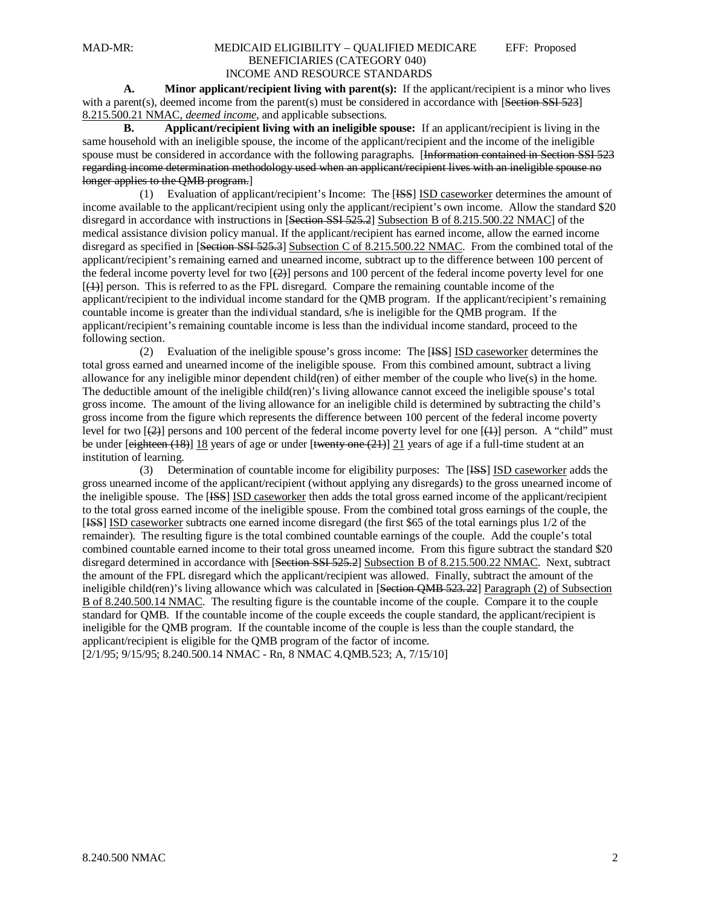#### MAD-MR: MEDICAID ELIGIBILITY – QUALIFIED MEDICARE EFF: Proposed BENEFICIARIES (CATEGORY 040) INCOME AND RESOURCE STANDARDS

**A. Minor applicant/recipient living with parent(s):** If the applicant/recipient is a minor who lives with a parent(s), deemed income from the parent(s) must be considered in accordance with [Section SSI 523] 8.215.500.21 NMAC, *deemed income* , and applicable subsections.

**B. Applicant/recipient living with an ineligible spouse:** If an applicant/recipient is living in the same household with an ineligible spouse, the income of the applicant/recipient and the income of the ineligible spouse must be considered in accordance with the following paragraphs. [Information contained in Section SSI 523 regarding income determination methodology used when an applicant/recipient lives with an ineligible spouse no longer applies to the QMB program.]

(1) Evaluation of applicant/recipient's Income: The [ISS] ISD caseworker determines the amount of income available to the applicant/recipient using only the applicant/recipient's own income. Allow the standard \$20 disregard in accordance with instructions in [Section SSI 525.2] Subsection B of 8.215.500.22 NMAC] of the medical assistance division policy manual. If the applicant/recipient has earned income, allow the earned income disregard as specified in [Section SSI 525.3] Subsection C of 8.215.500.22 NMAC. From the combined total of the applicant/recipient's remaining earned and unearned income, subtract up to the difference between 100 percent of the federal income poverty level for two  $[\frac{2}{2}]$  persons and 100 percent of the federal income poverty level for one [(1) ] person. This is referred to as the FPL disregard. Compare the remaining countable income of the applicant/recipient to the individual income standard for the QMB program. If the applicant/recipient's remaining countable income is greater than the individual standard, s/he is ineligible for the QMB program. If the applicant/recipient's remaining countable income is less than the individual income standard, proceed to the following section.

(2) Evaluation of the ineligible spouse's gross income: The [HSS] ISD caseworker determines the total gross earned and unearned income of the ineligible spouse. From this combined amount, subtract a living allowance for any ineligible minor dependent child(ren) of either member of the couple who live(s) in the home. The deductible amount of the ineligible child(ren)'s living allowance cannot exceed the ineligible spouse's total gross income. The amount of the living allowance for an ineligible child is determined by subtracting the child's gross income from the figure which represents the difference between 100 percent of the federal income poverty level for two  $\left[\frac{1}{2}\right]$  persons and 100 percent of the federal income poverty level for one  $\left[\frac{1}{2}\right]$  person. A "child" must be under [eighteen (18)] 18 years of age or under [twenty one (21)] 21 years of age if a full-time student at an institution of learning.

(3) Determination of countable income for eligibility purposes: The [<del>ISS</del>] ISD caseworker adds the gross unearned income of the applicant/recipient (without applying any disregards) to the gross unearned income of the ineligible spouse. The [ISS] ISD caseworker then adds the total gross earned income of the applicant/recipient to the total gross earned income of the ineligible spouse. From the combined total gross earnings of the couple, the [ISS] ISD caseworker subtracts one earned income disregard (the first \$65 of the total earnings plus 1/2 of the remainder). The resulting figure is the total combined countable earnings of the couple. Add the couple's total combined countable earned income to their total gross unearned income. From this figure subtract the standard \$20 disregard determined in accordance with [Section SSI 525.2] Subsection B of 8.215.500.22 NMAC. Next, subtract the amount of the FPL disregard which the applicant/recipient was allowed. Finally, subtract the amount of the ineligible child(ren)'s living allowance which was calculated in [Section QMB 523.22] Paragraph (2) of Subsection B of 8.240.500.14 NMAC. The resulting figure is the countable income of the couple. Compare it to the couple [2/1/95; 9/15/95; 8.240.500.14 NMAC - Rn, 8 NMAC 4.QMB.523; A, 7/15/10] standard for QMB. If the countable income of the couple exceeds the couple standard, the applicant/recipient is ineligible for the QMB program. If the countable income of the couple is less than the couple standard, the applicant/recipient is eligible for the QMB program of the factor of income.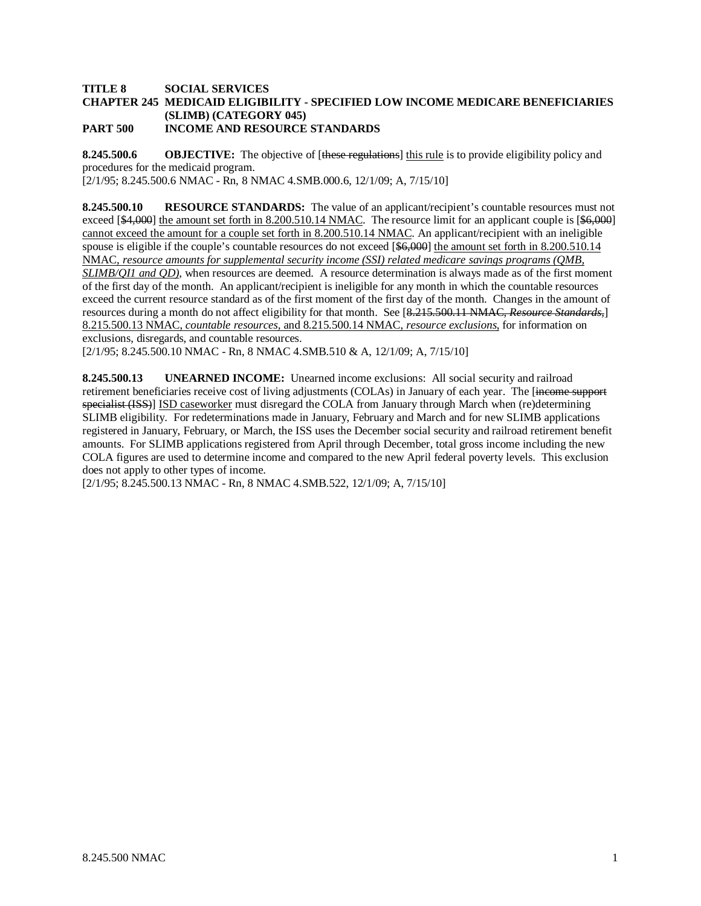#### **TITLE 8 SOCIAL SERVICES CHAPTER 245 MEDICAID ELIGIBILITY - SPECIFIED LOW INCOME MEDICARE BENEFICIARIES (SLIMB) (CATEGORY 045) PART 500 INCOME AND RESOURCE STANDARDS**

**8.245.500.6 OBJECTIVE:** The objective of [these regulations] this rule is to provide eligibility policy and [2/1/95; 8.245.500.6 NMAC - Rn, 8 NMAC 4.SMB.000.6, 12/1/09; A, 7/15/10] procedures for the medicaid program.

**8.245.500.10 RESOURCE STANDARDS:** The value of an applicant/recipient's countable resources must not exceed [\$4,000] the amount set forth in 8.200.510.14 NMAC. The resource limit for an applicant couple is [\$6,000] cannot exceed the amount for a couple set forth in 8.200.510.14 NMAC. An applicant/recipient with an ineligible spouse is eligible if the couple's countable resources do not exceed [\$6,000] the amount set forth in 8.200.510.14 NMAC, *resource amounts for supplemental security income (SSI) related medicare savings programs (QMB, SLIMB/QI1 and QD)*, when resources are deemed. A resource determination is always made as of the first moment of the first day of the month. An applicant/recipient is ineligible for any month in which the countable resources exceed the current resource standard as of the first moment of the first day of the month. Changes in the amount of resources during a month do not affect eligibility for that month. See [8.215.500.11 NMAC, *Resource Standards,*] 8.215.500.13 NMAC, *countable resources,* and 8.215.500.14 NMAC, *resource exclusions*, for information on exclusions, disregards, and countable resources.

[2/1/95; 8.245.500.10 NMAC - Rn, 8 NMAC 4.SMB.510 & A, 12/1/09; A, 7/15/10]

**8.245.500.13 UNEARNED INCOME:** Unearned income exclusions: All social security and railroad retirement beneficiaries receive cost of living adjustments (COLAs) in January of each year. The [income support specialist (ISS)] ISD caseworker must disregard the COLA from January through March when (re)determining SLIMB eligibility. For redeterminations made in January, February and March and for new SLIMB applications registered in January, February, or March, the ISS uses the December social security and railroad retirement benefit amounts. For SLIMB applications registered from April through December, total gross income including the new COLA figures are used to determine income and compared to the new April federal poverty levels. This exclusion does not apply to other types of income.

[2/1/95; 8.245.500.13 NMAC - Rn, 8 NMAC 4.SMB.522, 12/1/09; A, 7/15/10]